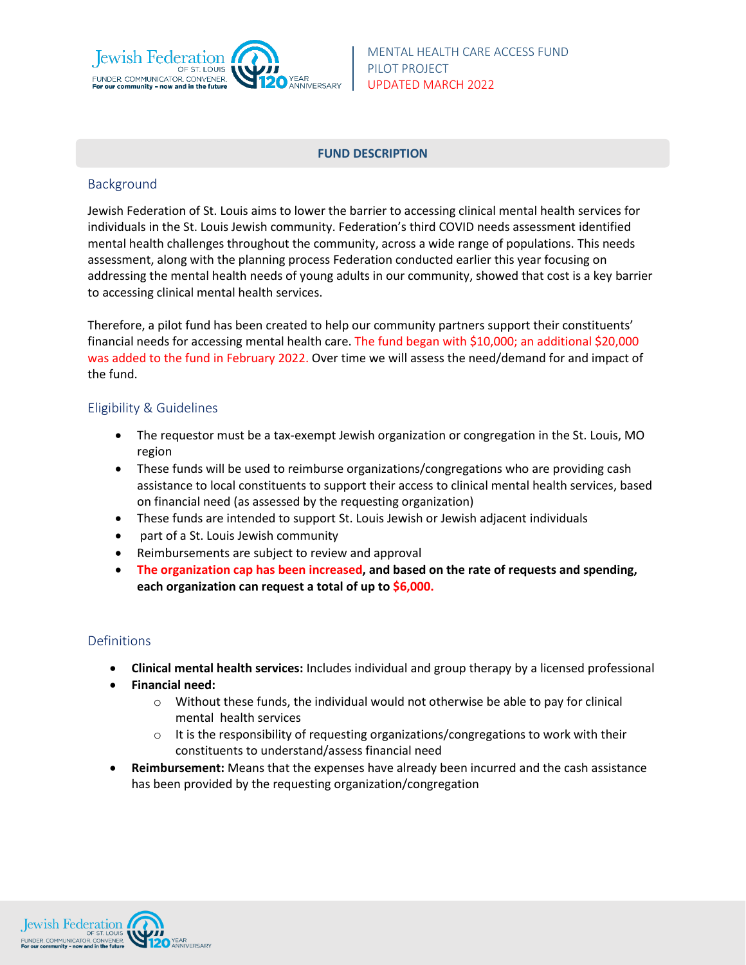

#### **FUND DESCRIPTION**

### Background

Jewish Federation of St. Louis aims to lower the barrier to accessing clinical mental health services for individuals in the St. Louis Jewish community. Federation's third COVID needs assessment identified mental health challenges throughout the community, across a wide range of populations. This needs assessment, along with the planning process Federation conducted earlier this year focusing on addressing the mental health needs of young adults in our community, showed that cost is a key barrier to accessing clinical mental health services.

Therefore, a pilot fund has been created to help our community partners support their constituents' financial needs for accessing mental health care. The fund began with \$10,000; an additional \$20,000 was added to the fund in February 2022. Over time we will assess the need/demand for and impact of the fund.

# Eligibility & Guidelines

- The requestor must be a tax-exempt Jewish organization or congregation in the St. Louis, MO region
- These funds will be used to reimburse organizations/congregations who are providing cash assistance to local constituents to support their access to clinical mental health services, based on financial need (as assessed by the requesting organization)
- These funds are intended to support St. Louis Jewish or Jewish adjacent individuals
- part of a St. Louis Jewish community
- Reimbursements are subject to review and approval
- **The organization cap has been increased, and based on the rate of requests and spending, each organization can request a total of up to \$6,000.**

# Definitions

- **Clinical mental health services:** Includes individual and group therapy by a licensed professional
- **Financial need:** 
	- $\circ$  Without these funds, the individual would not otherwise be able to pay for clinical mental health services
	- o It is the responsibility of requesting organizations/congregations to work with their constituents to understand/assess financial need
- **Reimbursement:** Means that the expenses have already been incurred and the cash assistance has been provided by the requesting organization/congregation